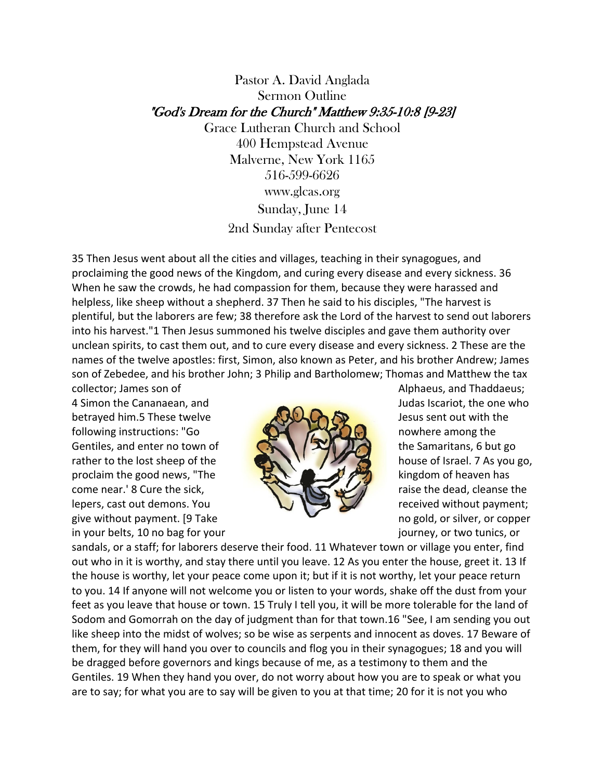# Pastor A. David Anglada Sermon Outline "God's Dream for the Church" Matthew 9:35-10:8 [9-23]

Grace Lutheran Church and School 400 Hempstead Avenue Malverne, New York 1165 516-599-6626 www.glcas.org Sunday, June 14 2nd Sunday after Pentecost

35 Then Jesus went about all the cities and villages, teaching in their synagogues, and proclaiming the good news of the Kingdom, and curing every disease and every sickness. 36 When he saw the crowds, he had compassion for them, because they were harassed and helpless, like sheep without a shepherd. 37 Then he said to his disciples, "The harvest is plentiful, but the laborers are few; 38 therefore ask the Lord of the harvest to send out laborers into his harvest."1 Then Jesus summoned his twelve disciples and gave them authority over unclean spirits, to cast them out, and to cure every disease and every sickness. 2 These are the names of the twelve apostles: first, Simon, also known as Peter, and his brother Andrew; James son of Zebedee, and his brother John; 3 Philip and Bartholomew; Thomas and Matthew the tax collector; James son of  $\Box$  Alphaeus, and Thaddaeus;

4 Simon the Cananaean, and **Judas Iscariot**, the one who betrayed him.5 These twelve AUCA D Jesus sent out with the following instructions: "Go **the studies of the studies of the studies of the studies of the studies of the studies** Gentiles, and enter no town of  $\left(\begin{array}{c} \bullet \\ \bullet \end{array}\right)$   $\left(\begin{array}{c} \bullet \\ \bullet \end{array}\right)$  the Samaritans, 6 but go rather to the lost sheep of the **house**  $\mathbb{R}$  **house** of Israel. 7 As you go, proclaim the good news, "The  $\mathbb{R}$  kingdom of heaven has come near.' 8 Cure the sick, and the signal come near.' 8 Cure the sick, lepers, cast out demons. You  $\cup$   $\cup$  received without payment; give without payment. [9 Take no gold, or silver, or copper in your belts, 10 no bag for your journey, or two tunics, or



sandals, or a staff; for laborers deserve their food. 11 Whatever town or village you enter, find out who in it is worthy, and stay there until you leave. 12 As you enter the house, greet it. 13 If the house is worthy, let your peace come upon it; but if it is not worthy, let your peace return to you. 14 If anyone will not welcome you or listen to your words, shake off the dust from your feet as you leave that house or town. 15 Truly I tell you, it will be more tolerable for the land of Sodom and Gomorrah on the day of judgment than for that town.16 "See, I am sending you out like sheep into the midst of wolves; so be wise as serpents and innocent as doves. 17 Beware of them, for they will hand you over to councils and flog you in their synagogues; 18 and you will be dragged before governors and kings because of me, as a testimony to them and the Gentiles. 19 When they hand you over, do not worry about how you are to speak or what you are to say; for what you are to say will be given to you at that time; 20 for it is not you who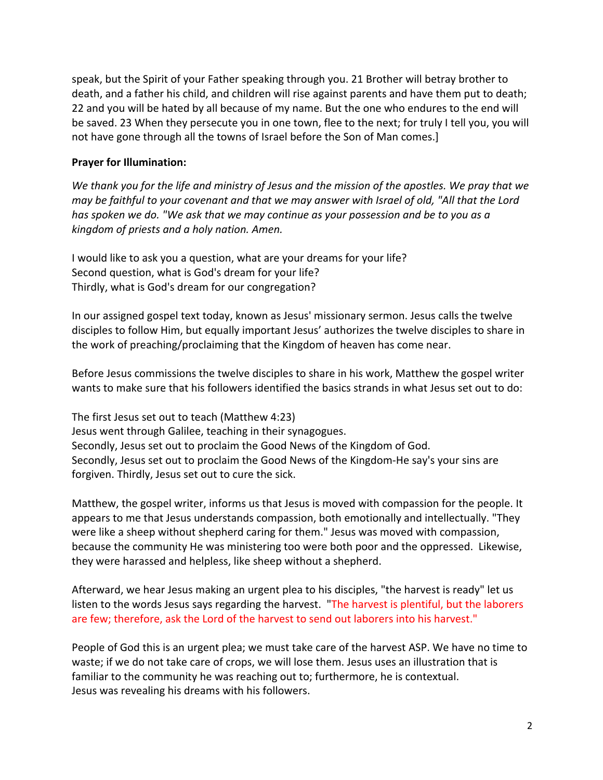speak, but the Spirit of your Father speaking through you. 21 Brother will betray brother to death, and a father his child, and children will rise against parents and have them put to death; 22 and you will be hated by all because of my name. But the one who endures to the end will be saved. 23 When they persecute you in one town, flee to the next; for truly I tell you, you will not have gone through all the towns of Israel before the Son of Man comes.]

#### **Prayer for Illumination:**

We thank you for the life and ministry of Jesus and the mission of the apostles. We pray that we *may be faithful to your covenant and that we may answer with Israel of old, "All that the Lord has spoken we do. "We ask that we may continue as your possession and be to you as a kingdom of priests and a holy nation. Amen.* 

I would like to ask you a question, what are your dreams for your life? Second question, what is God's dream for your life? Thirdly, what is God's dream for our congregation?

In our assigned gospel text today, known as Jesus' missionary sermon. Jesus calls the twelve disciples to follow Him, but equally important Jesus' authorizes the twelve disciples to share in the work of preaching/proclaiming that the Kingdom of heaven has come near.

Before Jesus commissions the twelve disciples to share in his work, Matthew the gospel writer wants to make sure that his followers identified the basics strands in what Jesus set out to do:

The first Jesus set out to teach (Matthew 4:23) Jesus went through Galilee, teaching in their synagogues. Secondly, Jesus set out to proclaim the Good News of the Kingdom of God. Secondly, Jesus set out to proclaim the Good News of the Kingdom-He say's your sins are forgiven. Thirdly, Jesus set out to cure the sick.

Matthew, the gospel writer, informs us that Jesus is moved with compassion for the people. It appears to me that Jesus understands compassion, both emotionally and intellectually. "They were like a sheep without shepherd caring for them." Jesus was moved with compassion, because the community He was ministering too were both poor and the oppressed. Likewise, they were harassed and helpless, like sheep without a shepherd.

Afterward, we hear Jesus making an urgent plea to his disciples, "the harvest is ready" let us listen to the words Jesus says regarding the harvest. "The harvest is plentiful, but the laborers are few; therefore, ask the Lord of the harvest to send out laborers into his harvest."

People of God this is an urgent plea; we must take care of the harvest ASP. We have no time to waste; if we do not take care of crops, we will lose them. Jesus uses an illustration that is familiar to the community he was reaching out to; furthermore, he is contextual. Jesus was revealing his dreams with his followers.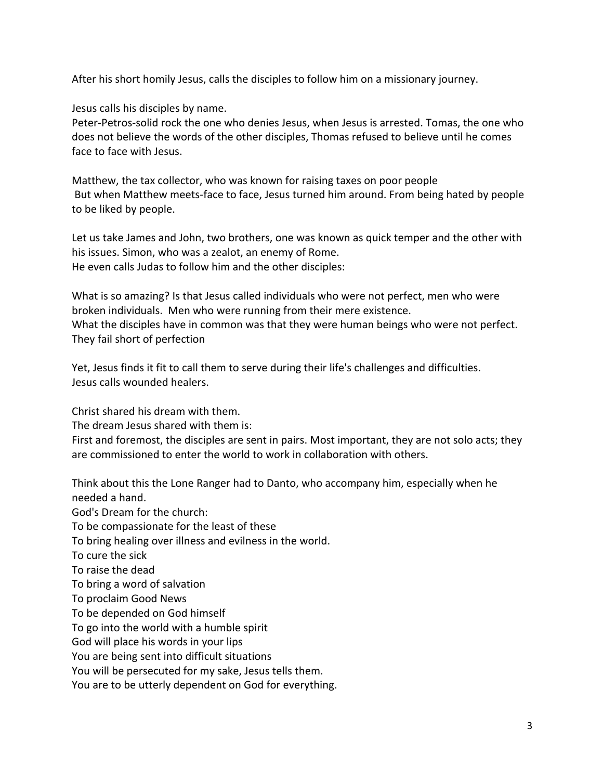After his short homily Jesus, calls the disciples to follow him on a missionary journey.

Jesus calls his disciples by name.

Peter-Petros-solid rock the one who denies Jesus, when Jesus is arrested. Tomas, the one who does not believe the words of the other disciples, Thomas refused to believe until he comes face to face with Jesus.

Matthew, the tax collector, who was known for raising taxes on poor people But when Matthew meets-face to face, Jesus turned him around. From being hated by people to be liked by people.

Let us take James and John, two brothers, one was known as quick temper and the other with his issues. Simon, who was a zealot, an enemy of Rome. He even calls Judas to follow him and the other disciples:

What is so amazing? Is that Jesus called individuals who were not perfect, men who were broken individuals. Men who were running from their mere existence. What the disciples have in common was that they were human beings who were not perfect. They fail short of perfection

Yet, Jesus finds it fit to call them to serve during their life's challenges and difficulties. Jesus calls wounded healers.

Christ shared his dream with them.

The dream Jesus shared with them is:

First and foremost, the disciples are sent in pairs. Most important, they are not solo acts; they are commissioned to enter the world to work in collaboration with others.

Think about this the Lone Ranger had to Danto, who accompany him, especially when he needed a hand. God's Dream for the church: To be compassionate for the least of these To bring healing over illness and evilness in the world. To cure the sick To raise the dead To bring a word of salvation To proclaim Good News To be depended on God himself To go into the world with a humble spirit God will place his words in your lips You are being sent into difficult situations You will be persecuted for my sake, Jesus tells them.

You are to be utterly dependent on God for everything.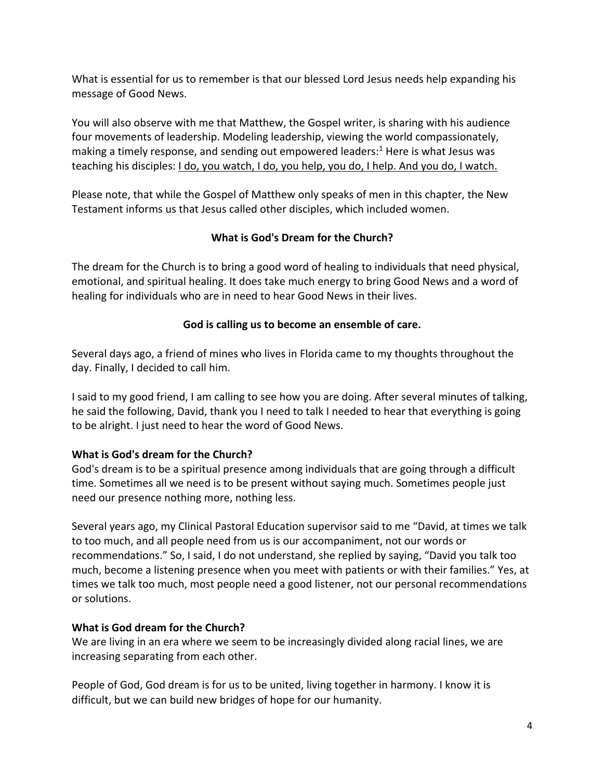What is essential for us to remember is that our blessed Lord Jesus needs help expanding his message of Good News.

You will also observe with me that Matthew, the Gospel writer, is sharing with his audience four movements of leadership. Modeling leadership, viewing the world compassionately, making a timely response, and sending out empowered leaders:<sup>1</sup> Here is what Jesus was teaching his disciples: I do, you watch, I do, you help, you do, I help. And you do, I watch.

Please note, that while the Gospel of Matthew only speaks of men in this chapter, the New Testament informs us that Jesus called other disciples, which included women.

# **What is God's Dream for the Church?**

The dream for the Church is to bring a good word of healing to individuals that need physical, emotional, and spiritual healing. It does take much energy to bring Good News and a word of healing for individuals who are in need to hear Good News in their lives.

# **God is calling us to become an ensemble of care.**

Several days ago, a friend of mines who lives in Florida came to my thoughts throughout the day. Finally, I decided to call him.

I said to my good friend, I am calling to see how you are doing. After several minutes of talking, he said the following, David, thank you I need to talk I needed to hear that everything is going to be alright. I just need to hear the word of Good News.

## **What is God's dream for the Church?**

God's dream is to be a spiritual presence among individuals that are going through a difficult time. Sometimes all we need is to be present without saying much. Sometimes people just need our presence nothing more, nothing less.

Several years ago, my Clinical Pastoral Education supervisor said to me "David, at times we talk to too much, and all people need from us is our accompaniment, not our words or recommendations." So, I said, I do not understand, she replied by saying, "David you talk too much, become a listening presence when you meet with patients or with their families." Yes, at times we talk too much, most people need a good listener, not our personal recommendations or solutions.

## **What is God dream for the Church?**

We are living in an era where we seem to be increasingly divided along racial lines, we are increasing separating from each other.

People of God, God dream is for us to be united, living together in harmony. I know it is difficult, but we can build new bridges of hope for our humanity.